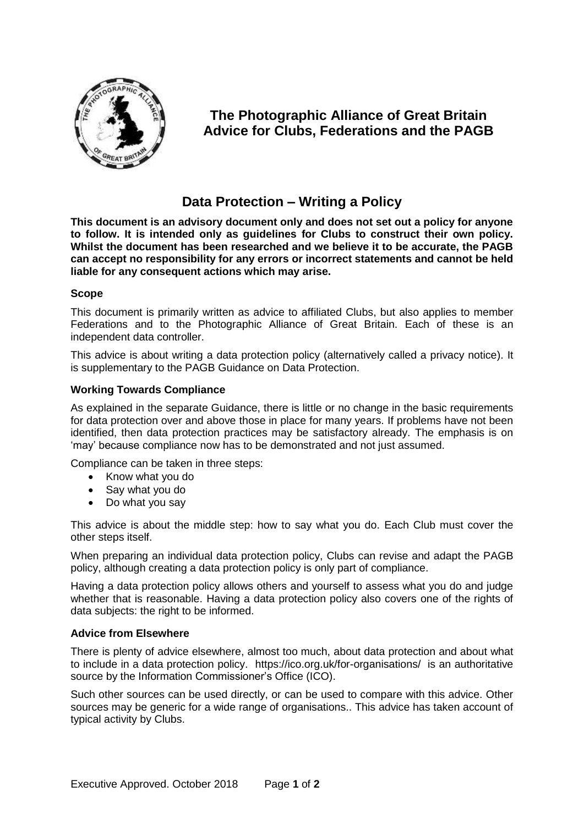

# **The Photographic Alliance of Great Britain Advice for Clubs, Federations and the PAGB**

# **Data Protection – Writing a Policy**

**This document is an advisory document only and does not set out a policy for anyone to follow. It is intended only as guidelines for Clubs to construct their own policy. Whilst the document has been researched and we believe it to be accurate, the PAGB can accept no responsibility for any errors or incorrect statements and cannot be held liable for any consequent actions which may arise.**

#### **Scope**

This document is primarily written as advice to affiliated Clubs, but also applies to member Federations and to the Photographic Alliance of Great Britain. Each of these is an independent data controller.

This advice is about writing a data protection policy (alternatively called a privacy notice). It is supplementary to the PAGB Guidance on Data Protection.

### **Working Towards Compliance**

As explained in the separate Guidance, there is little or no change in the basic requirements for data protection over and above those in place for many years. If problems have not been identified, then data protection practices may be satisfactory already. The emphasis is on 'may' because compliance now has to be demonstrated and not just assumed.

Compliance can be taken in three steps:

- Know what you do
- Say what you do
- Do what you say

This advice is about the middle step: how to say what you do. Each Club must cover the other steps itself.

When preparing an individual data protection policy, Clubs can revise and adapt the PAGB policy, although creating a data protection policy is only part of compliance.

Having a data protection policy allows others and yourself to assess what you do and judge whether that is reasonable. Having a data protection policy also covers one of the rights of data subjects: the right to be informed.

#### **Advice from Elsewhere**

There is plenty of advice elsewhere, almost too much, about data protection and about what to include in a data protection policy. https://ico.org.uk/for-organisations/ is an authoritative source by the Information Commissioner's Office (ICO).

Such other sources can be used directly, or can be used to compare with this advice. Other sources may be generic for a wide range of organisations.. This advice has taken account of typical activity by Clubs.